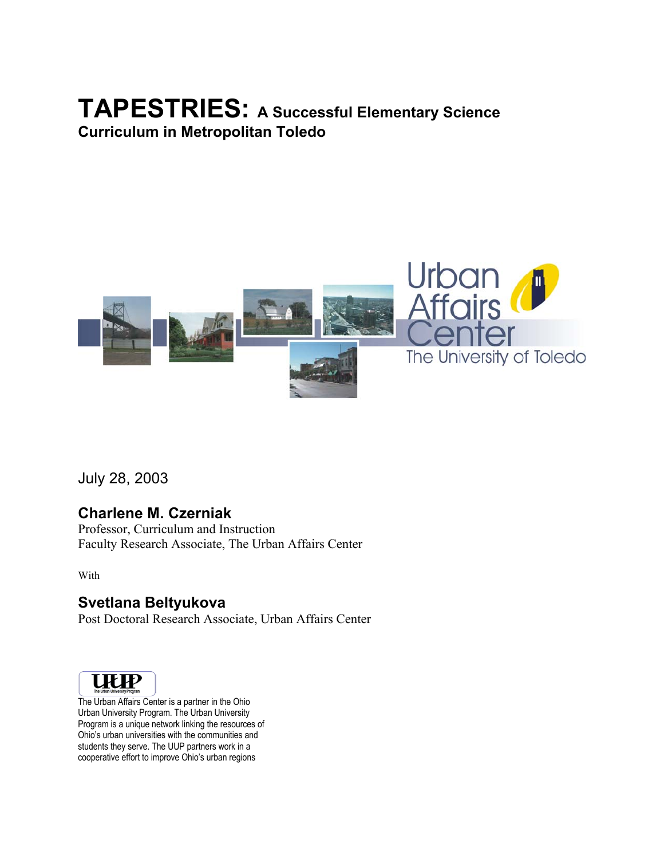# **TAPESTRIES: A Successful Elementary Science Curriculum in Metropolitan Toledo**



July 28, 2003

# **Charlene M. Czerniak**

Professor, Curriculum and Instruction Faculty Research Associate, The Urban Affairs Center

With

# **Svetlana Beltyukova**

Post Doctoral Research Associate, Urban Affairs Center



The Urban Affairs Center is a partner in the Ohio Urban University Program. The Urban University Program is a unique network linking the resources of Ohio's urban universities with the communities and students they serve. The UUP partners work in a cooperative effort to improve Ohio's urban regions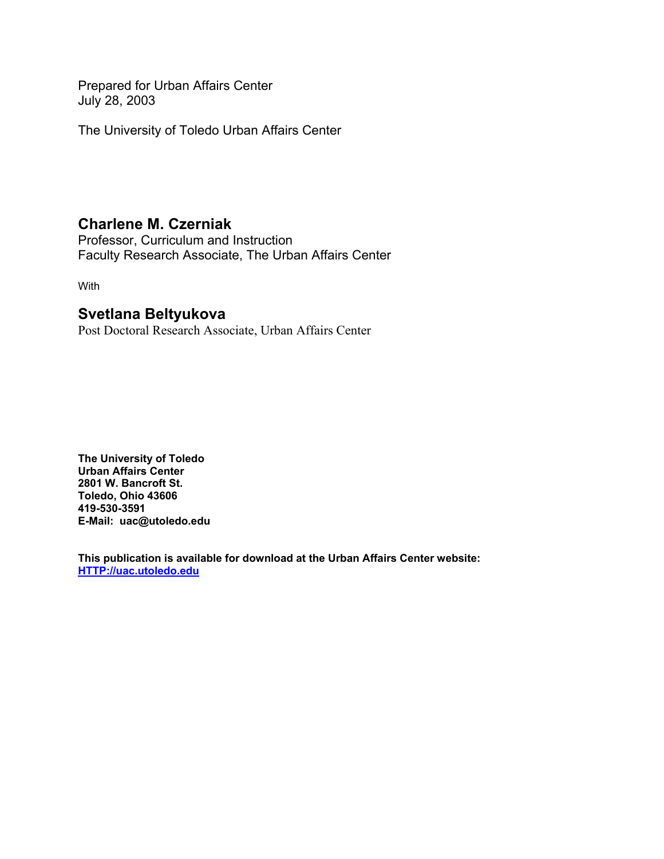Prepared for Urban Affairs Center July 28, 2003

The University of Toledo Urban Affairs Center

# **Charlene M. Czerniak**

Professor, Curriculum and Instruction Faculty Research Associate, The Urban Affairs Center

With

# **Svetlana Beltyukova**

Post Doctoral Research Associate, Urban Affairs Center

**The University of Toledo Urban Affairs Center 2801 W. Bancroft St. Toledo, Ohio 43606 419-530-3591 E-Mail: uac@utoledo.edu** 

**This publication is available for download at the Urban Affairs Center website: HTTP://uac.utoledo.edu**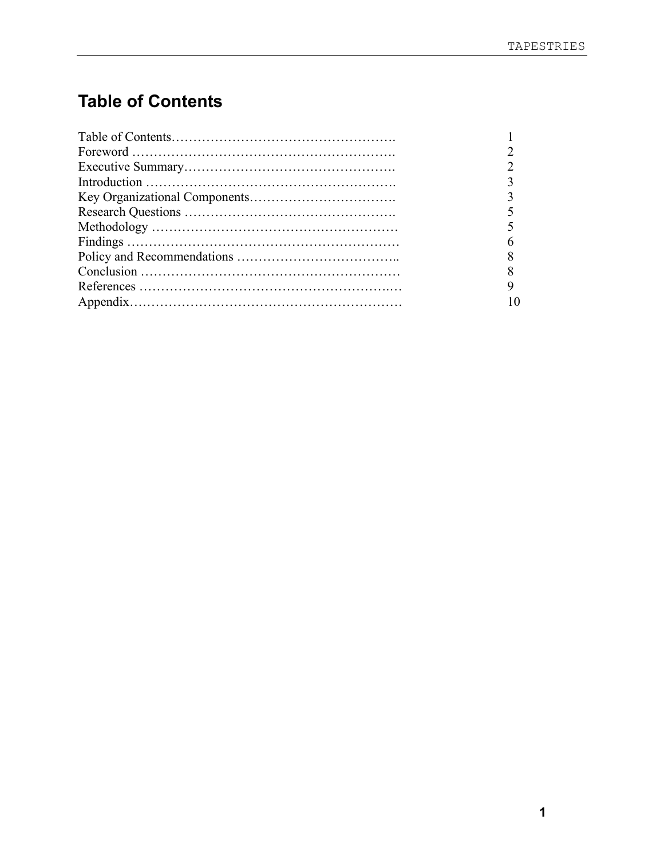# **Table of Contents**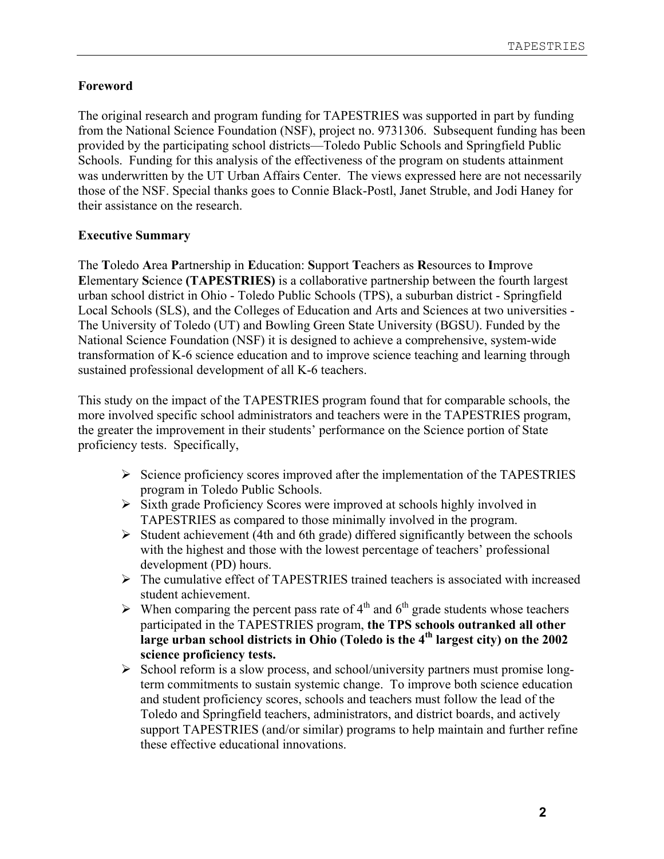# **Foreword**

The original research and program funding for TAPESTRIES was supported in part by funding from the National Science Foundation (NSF), project no. 9731306. Subsequent funding has been provided by the participating school districts—Toledo Public Schools and Springfield Public Schools. Funding for this analysis of the effectiveness of the program on students attainment was underwritten by the UT Urban Affairs Center. The views expressed here are not necessarily those of the NSF. Special thanks goes to Connie Black-Postl, Janet Struble, and Jodi Haney for their assistance on the research.

# **Executive Summary**

The **T**oledo **A**rea **P**artnership in **E**ducation: **S**upport **T**eachers as **R**esources to **I**mprove **E**lementary **S**cience **(TAPESTRIES)** is a collaborative partnership between the fourth largest urban school district in Ohio - Toledo Public Schools (TPS), a suburban district - Springfield Local Schools (SLS), and the Colleges of Education and Arts and Sciences at two universities - The University of Toledo (UT) and Bowling Green State University (BGSU). Funded by the National Science Foundation (NSF) it is designed to achieve a comprehensive, system-wide transformation of K-6 science education and to improve science teaching and learning through sustained professional development of all K-6 teachers.

This study on the impact of the TAPESTRIES program found that for comparable schools, the more involved specific school administrators and teachers were in the TAPESTRIES program, the greater the improvement in their students' performance on the Science portion of State proficiency tests. Specifically,

- $\triangleright$  Science proficiency scores improved after the implementation of the TAPESTRIES program in Toledo Public Schools.
- ¾ Sixth grade Proficiency Scores were improved at schools highly involved in TAPESTRIES as compared to those minimally involved in the program.
- $\triangleright$  Student achievement (4th and 6th grade) differed significantly between the schools with the highest and those with the lowest percentage of teachers' professional development (PD) hours.
- $\triangleright$  The cumulative effect of TAPESTRIES trained teachers is associated with increased student achievement.
- $\triangleright$  When comparing the percent pass rate of 4<sup>th</sup> and 6<sup>th</sup> grade students whose teachers participated in the TAPESTRIES program, **the TPS schools outranked all other**  large urban school districts in Ohio (Toledo is the 4<sup>th</sup> largest city) on the 2002 **science proficiency tests.**
- $\triangleright$  School reform is a slow process, and school/university partners must promise longterm commitments to sustain systemic change. To improve both science education and student proficiency scores, schools and teachers must follow the lead of the Toledo and Springfield teachers, administrators, and district boards, and actively support TAPESTRIES (and/or similar) programs to help maintain and further refine these effective educational innovations.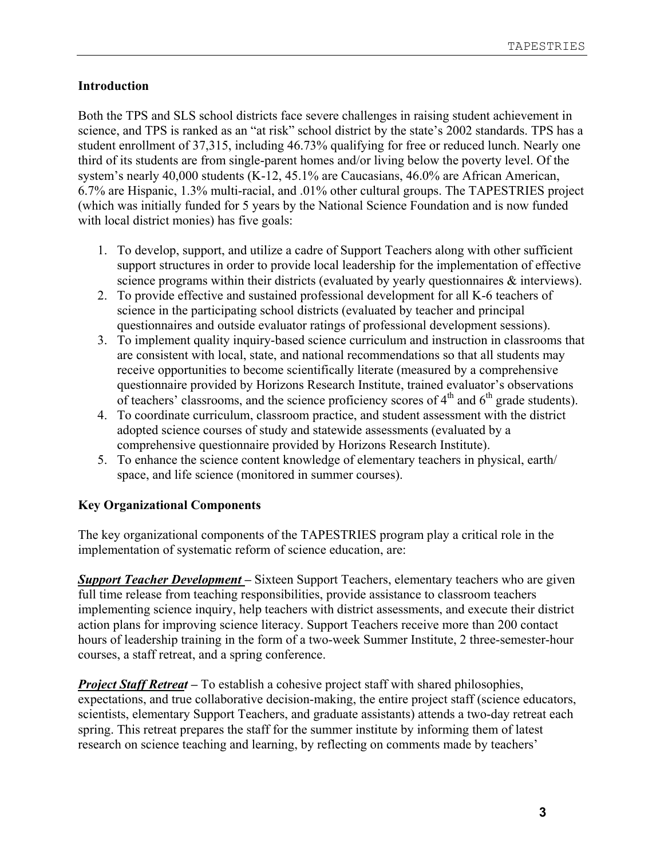## **Introduction**

Both the TPS and SLS school districts face severe challenges in raising student achievement in science, and TPS is ranked as an "at risk" school district by the state's 2002 standards. TPS has a student enrollment of 37,315, including 46.73% qualifying for free or reduced lunch. Nearly one third of its students are from single-parent homes and/or living below the poverty level. Of the system's nearly 40,000 students (K-12, 45.1% are Caucasians, 46.0% are African American, 6.7% are Hispanic, 1.3% multi-racial, and .01% other cultural groups. The TAPESTRIES project (which was initially funded for 5 years by the National Science Foundation and is now funded with local district monies) has five goals:

- 1. To develop, support, and utilize a cadre of Support Teachers along with other sufficient support structures in order to provide local leadership for the implementation of effective science programs within their districts (evaluated by yearly questionnaires  $\&$  interviews).
- 2. To provide effective and sustained professional development for all K-6 teachers of science in the participating school districts (evaluated by teacher and principal questionnaires and outside evaluator ratings of professional development sessions).
- 3. To implement quality inquiry-based science curriculum and instruction in classrooms that are consistent with local, state, and national recommendations so that all students may receive opportunities to become scientifically literate (measured by a comprehensive questionnaire provided by Horizons Research Institute, trained evaluator's observations of teachers' classrooms, and the science proficiency scores of  $4<sup>th</sup>$  and  $6<sup>th</sup>$  grade students).
- 4. To coordinate curriculum, classroom practice, and student assessment with the district adopted science courses of study and statewide assessments (evaluated by a comprehensive questionnaire provided by Horizons Research Institute).
- 5. To enhance the science content knowledge of elementary teachers in physical, earth/ space, and life science (monitored in summer courses).

## **Key Organizational Components**

The key organizational components of the TAPESTRIES program play a critical role in the implementation of systematic reform of science education, are:

*Support Teacher Development –* Sixteen Support Teachers, elementary teachers who are given full time release from teaching responsibilities, provide assistance to classroom teachers implementing science inquiry, help teachers with district assessments, and execute their district action plans for improving science literacy. Support Teachers receive more than 200 contact hours of leadership training in the form of a two-week Summer Institute, 2 three-semester-hour courses, a staff retreat, and a spring conference.

*Project Staff Retreat* – To establish a cohesive project staff with shared philosophies, expectations, and true collaborative decision-making, the entire project staff (science educators, scientists, elementary Support Teachers, and graduate assistants) attends a two-day retreat each spring. This retreat prepares the staff for the summer institute by informing them of latest research on science teaching and learning, by reflecting on comments made by teachers'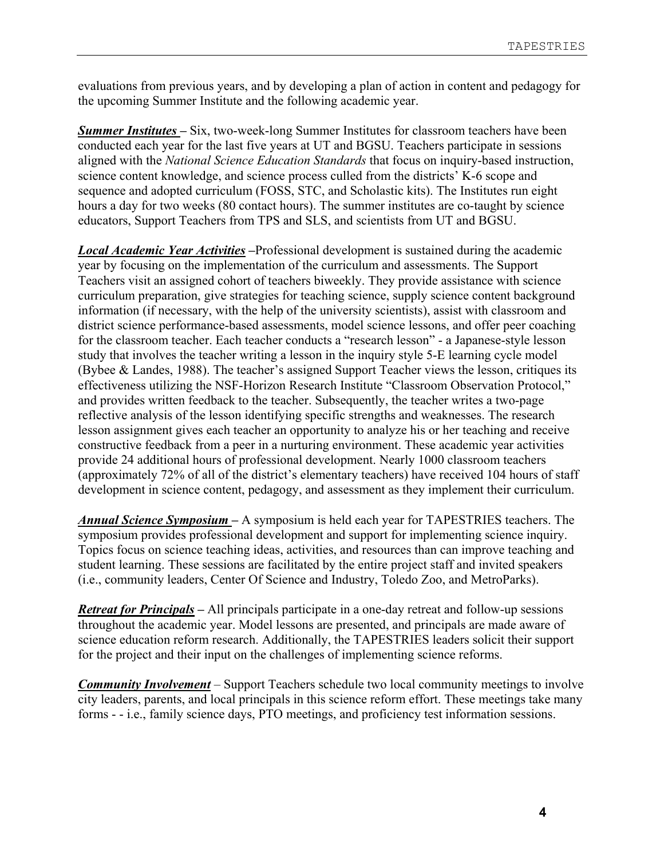evaluations from previous years, and by developing a plan of action in content and pedagogy for the upcoming Summer Institute and the following academic year.

*Summer Institutes –* Six, two-week-long Summer Institutes for classroom teachers have been conducted each year for the last five years at UT and BGSU. Teachers participate in sessions aligned with the *National Science Education Standards* that focus on inquiry-based instruction, science content knowledge, and science process culled from the districts' K-6 scope and sequence and adopted curriculum (FOSS, STC, and Scholastic kits). The Institutes run eight hours a day for two weeks (80 contact hours). The summer institutes are co-taught by science educators, Support Teachers from TPS and SLS, and scientists from UT and BGSU.

*Local Academic Year Activities –*Professional development is sustained during the academic year by focusing on the implementation of the curriculum and assessments. The Support Teachers visit an assigned cohort of teachers biweekly. They provide assistance with science curriculum preparation, give strategies for teaching science, supply science content background information (if necessary, with the help of the university scientists), assist with classroom and district science performance-based assessments, model science lessons, and offer peer coaching for the classroom teacher. Each teacher conducts a "research lesson" - a Japanese-style lesson study that involves the teacher writing a lesson in the inquiry style 5-E learning cycle model (Bybee & Landes, 1988). The teacher's assigned Support Teacher views the lesson, critiques its effectiveness utilizing the NSF-Horizon Research Institute "Classroom Observation Protocol," and provides written feedback to the teacher. Subsequently, the teacher writes a two-page reflective analysis of the lesson identifying specific strengths and weaknesses. The research lesson assignment gives each teacher an opportunity to analyze his or her teaching and receive constructive feedback from a peer in a nurturing environment. These academic year activities provide 24 additional hours of professional development. Nearly 1000 classroom teachers (approximately 72% of all of the district's elementary teachers) have received 104 hours of staff development in science content, pedagogy, and assessment as they implement their curriculum.

*Annual Science Symposium –* A symposium is held each year for TAPESTRIES teachers. The symposium provides professional development and support for implementing science inquiry. Topics focus on science teaching ideas, activities, and resources than can improve teaching and student learning. These sessions are facilitated by the entire project staff and invited speakers (i.e., community leaders, Center Of Science and Industry, Toledo Zoo, and MetroParks).

*Retreat for Principals –* All principals participate in a one-day retreat and follow-up sessions throughout the academic year. Model lessons are presented, and principals are made aware of science education reform research. Additionally, the TAPESTRIES leaders solicit their support for the project and their input on the challenges of implementing science reforms.

*Community Involvement* – Support Teachers schedule two local community meetings to involve city leaders, parents, and local principals in this science reform effort. These meetings take many forms - - i.e., family science days, PTO meetings, and proficiency test information sessions.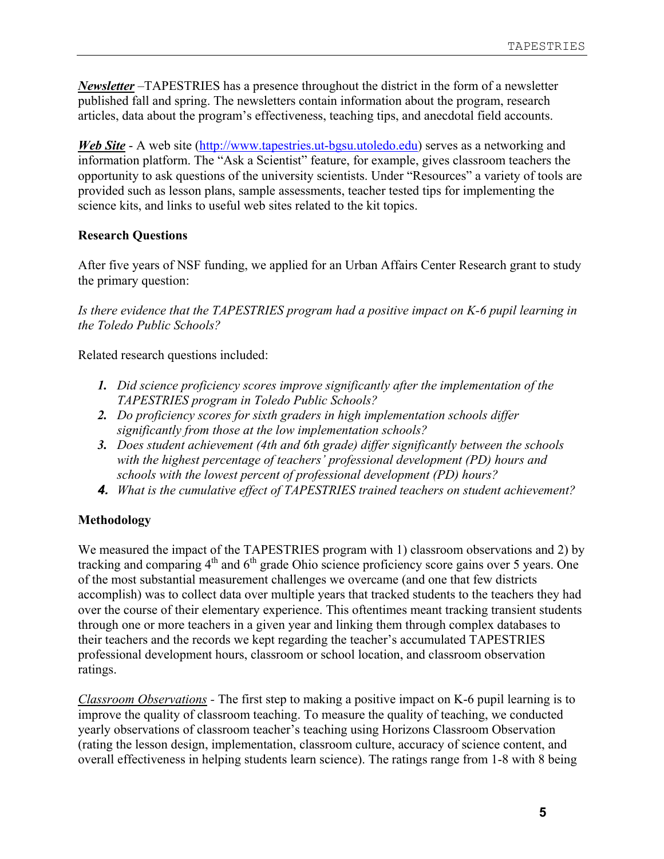*Newsletter* –TAPESTRIES has a presence throughout the district in the form of a newsletter published fall and spring. The newsletters contain information about the program, research articles, data about the program's effectiveness, teaching tips, and anecdotal field accounts.

*Web Site* - A web site (http://www.tapestries.ut-bgsu.utoledo.edu) serves as a networking and information platform. The "Ask a Scientist" feature, for example, gives classroom teachers the opportunity to ask questions of the university scientists. Under "Resources" a variety of tools are provided such as lesson plans, sample assessments, teacher tested tips for implementing the science kits, and links to useful web sites related to the kit topics.

## **Research Questions**

After five years of NSF funding, we applied for an Urban Affairs Center Research grant to study the primary question:

*Is there evidence that the TAPESTRIES program had a positive impact on K-6 pupil learning in the Toledo Public Schools?* 

Related research questions included:

- *1. Did science proficiency scores improve significantly after the implementation of the TAPESTRIES program in Toledo Public Schools?*
- *2. Do proficiency scores for sixth graders in high implementation schools differ significantly from those at the low implementation schools?*
- *3. Does student achievement (4th and 6th grade) differ significantly between the schools with the highest percentage of teachers' professional development (PD) hours and schools with the lowest percent of professional development (PD) hours?*
- *4. What is the cumulative effect of TAPESTRIES trained teachers on student achievement?*

## **Methodology**

We measured the impact of the TAPESTRIES program with 1) classroom observations and 2) by tracking and comparing  $4<sup>th</sup>$  and  $6<sup>th</sup>$  grade Ohio science proficiency score gains over 5 years. One of the most substantial measurement challenges we overcame (and one that few districts accomplish) was to collect data over multiple years that tracked students to the teachers they had over the course of their elementary experience. This oftentimes meant tracking transient students through one or more teachers in a given year and linking them through complex databases to their teachers and the records we kept regarding the teacher's accumulated TAPESTRIES professional development hours, classroom or school location, and classroom observation ratings.

*Classroom Observations -* The first step to making a positive impact on K-6 pupil learning is to improve the quality of classroom teaching. To measure the quality of teaching, we conducted yearly observations of classroom teacher's teaching using Horizons Classroom Observation (rating the lesson design, implementation, classroom culture, accuracy of science content, and overall effectiveness in helping students learn science). The ratings range from 1-8 with 8 being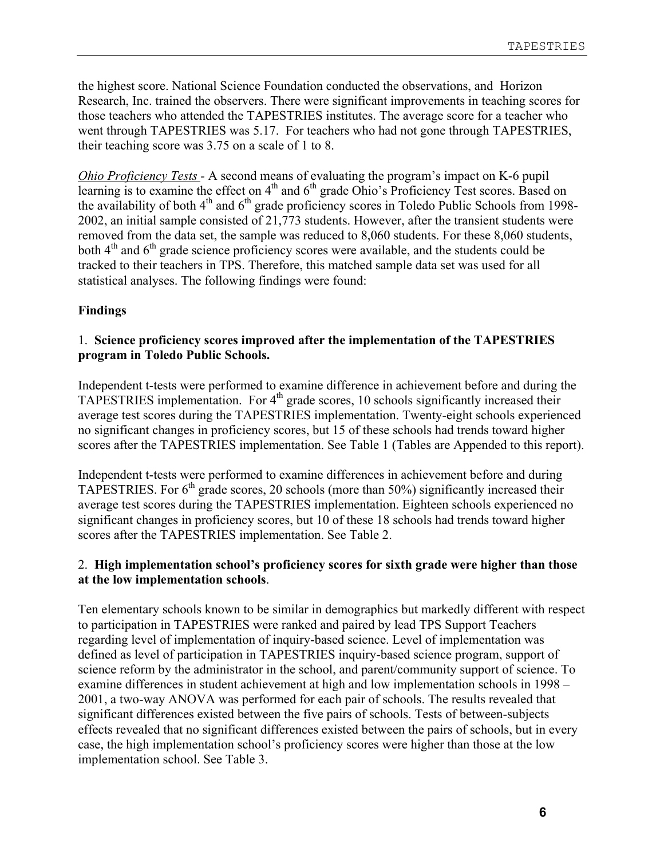the highest score. National Science Foundation conducted the observations, and Horizon Research, Inc. trained the observers. There were significant improvements in teaching scores for those teachers who attended the TAPESTRIES institutes. The average score for a teacher who went through TAPESTRIES was 5.17. For teachers who had not gone through TAPESTRIES, their teaching score was 3.75 on a scale of 1 to 8.

*Ohio Proficiency Tests -* A second means of evaluating the program's impact on K-6 pupil learning is to examine the effect on  $4<sup>th</sup>$  and  $6<sup>th</sup>$  grade Ohio's Proficiency Test scores. Based on the availability of both  $4<sup>th</sup>$  and  $6<sup>th</sup>$  grade proficiency scores in Toledo Public Schools from 1998-2002, an initial sample consisted of 21,773 students. However, after the transient students were removed from the data set, the sample was reduced to 8,060 students. For these 8,060 students, both  $4<sup>th</sup>$  and  $6<sup>th</sup>$  grade science proficiency scores were available, and the students could be tracked to their teachers in TPS. Therefore, this matched sample data set was used for all statistical analyses. The following findings were found:

#### **Findings**

#### 1. **Science proficiency scores improved after the implementation of the TAPESTRIES program in Toledo Public Schools.**

Independent t-tests were performed to examine difference in achievement before and during the TAPESTRIES implementation. For  $4<sup>th</sup>$  grade scores, 10 schools significantly increased their average test scores during the TAPESTRIES implementation. Twenty-eight schools experienced no significant changes in proficiency scores, but 15 of these schools had trends toward higher scores after the TAPESTRIES implementation. See Table 1 (Tables are Appended to this report).

Independent t-tests were performed to examine differences in achievement before and during TAPESTRIES. For  $6<sup>th</sup>$  grade scores, 20 schools (more than 50%) significantly increased their average test scores during the TAPESTRIES implementation. Eighteen schools experienced no significant changes in proficiency scores, but 10 of these 18 schools had trends toward higher scores after the TAPESTRIES implementation. See Table 2.

#### 2. **High implementation school's proficiency scores for sixth grade were higher than those at the low implementation schools**.

Ten elementary schools known to be similar in demographics but markedly different with respect to participation in TAPESTRIES were ranked and paired by lead TPS Support Teachers regarding level of implementation of inquiry-based science. Level of implementation was defined as level of participation in TAPESTRIES inquiry-based science program, support of science reform by the administrator in the school, and parent/community support of science. To examine differences in student achievement at high and low implementation schools in 1998 – 2001, a two-way ANOVA was performed for each pair of schools. The results revealed that significant differences existed between the five pairs of schools. Tests of between-subjects effects revealed that no significant differences existed between the pairs of schools, but in every case, the high implementation school's proficiency scores were higher than those at the low implementation school. See Table 3.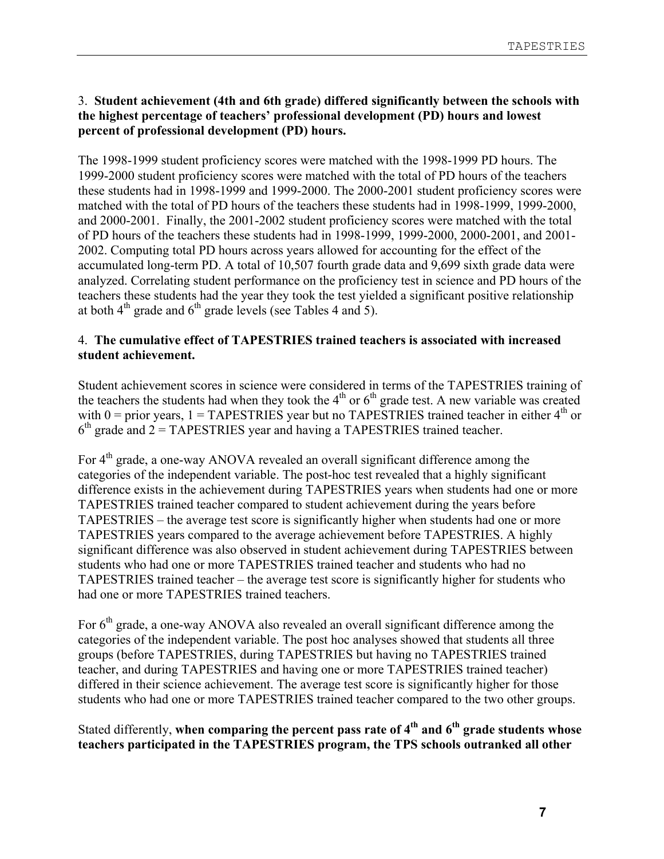### 3. **Student achievement (4th and 6th grade) differed significantly between the schools with the highest percentage of teachers' professional development (PD) hours and lowest percent of professional development (PD) hours.**

The 1998-1999 student proficiency scores were matched with the 1998-1999 PD hours. The 1999-2000 student proficiency scores were matched with the total of PD hours of the teachers these students had in 1998-1999 and 1999-2000. The 2000-2001 student proficiency scores were matched with the total of PD hours of the teachers these students had in 1998-1999, 1999-2000, and 2000-2001. Finally, the 2001-2002 student proficiency scores were matched with the total of PD hours of the teachers these students had in 1998-1999, 1999-2000, 2000-2001, and 2001- 2002. Computing total PD hours across years allowed for accounting for the effect of the accumulated long-term PD. A total of 10,507 fourth grade data and 9,699 sixth grade data were analyzed. Correlating student performance on the proficiency test in science and PD hours of the teachers these students had the year they took the test yielded a significant positive relationship at both  $4<sup>th</sup>$  grade and  $6<sup>th</sup>$  grade levels (see Tables 4 and 5).

#### 4. **The cumulative effect of TAPESTRIES trained teachers is associated with increased student achievement.**

Student achievement scores in science were considered in terms of the TAPESTRIES training of the teachers the students had when they took the  $4<sup>th</sup>$  or  $6<sup>th</sup>$  grade test. A new variable was created with  $0 =$  prior years,  $1 =$  TAPESTRIES year but no TAPESTRIES trained teacher in either  $4<sup>th</sup>$  or  $6<sup>th</sup>$  grade and 2 = TAPESTRIES year and having a TAPESTRIES trained teacher.

For 4<sup>th</sup> grade, a one-way ANOVA revealed an overall significant difference among the categories of the independent variable. The post-hoc test revealed that a highly significant difference exists in the achievement during TAPESTRIES years when students had one or more TAPESTRIES trained teacher compared to student achievement during the years before TAPESTRIES – the average test score is significantly higher when students had one or more TAPESTRIES years compared to the average achievement before TAPESTRIES. A highly significant difference was also observed in student achievement during TAPESTRIES between students who had one or more TAPESTRIES trained teacher and students who had no TAPESTRIES trained teacher – the average test score is significantly higher for students who had one or more TAPESTRIES trained teachers.

For  $6<sup>th</sup>$  grade, a one-way ANOVA also revealed an overall significant difference among the categories of the independent variable. The post hoc analyses showed that students all three groups (before TAPESTRIES, during TAPESTRIES but having no TAPESTRIES trained teacher, and during TAPESTRIES and having one or more TAPESTRIES trained teacher) differed in their science achievement. The average test score is significantly higher for those students who had one or more TAPESTRIES trained teacher compared to the two other groups.

Stated differently, when comparing the percent pass rate of 4<sup>th</sup> and 6<sup>th</sup> grade students whose **teachers participated in the TAPESTRIES program, the TPS schools outranked all other**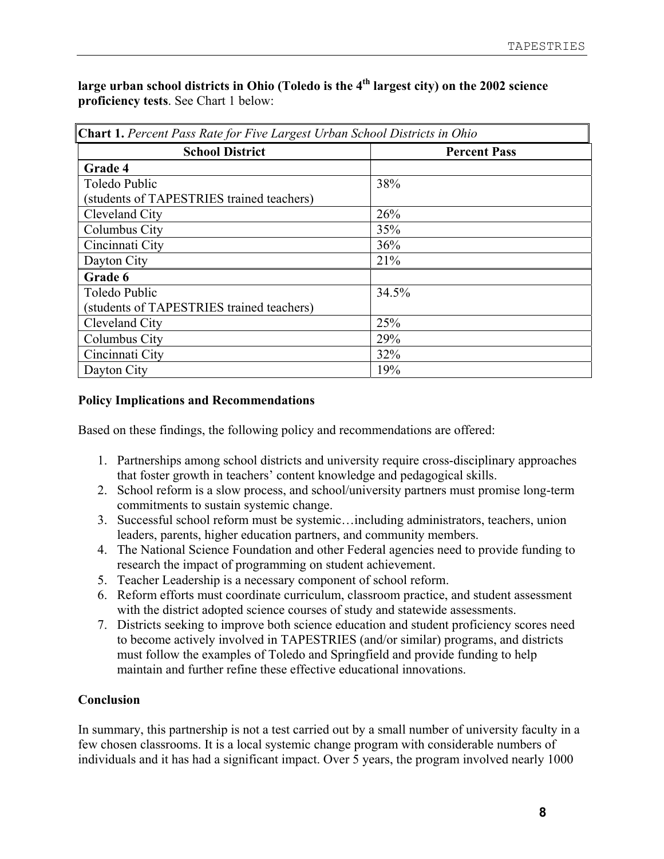large urban school districts in Ohio (Toledo is the 4<sup>th</sup> largest city) on the 2002 science **proficiency tests**. See Chart 1 below:

| <b>Chart 1.</b> Percent Pass Rate for Five Largest Urban School Districts in Ohio |                     |  |  |  |  |
|-----------------------------------------------------------------------------------|---------------------|--|--|--|--|
| <b>School District</b>                                                            | <b>Percent Pass</b> |  |  |  |  |
| Grade 4                                                                           |                     |  |  |  |  |
| Toledo Public                                                                     | 38%                 |  |  |  |  |
| (students of TAPESTRIES trained teachers)                                         |                     |  |  |  |  |
| Cleveland City                                                                    | 26%                 |  |  |  |  |
| Columbus City                                                                     | 35%                 |  |  |  |  |
| Cincinnati City                                                                   | 36%                 |  |  |  |  |
| Dayton City                                                                       | 21%                 |  |  |  |  |
| Grade 6                                                                           |                     |  |  |  |  |
| Toledo Public                                                                     | 34.5%               |  |  |  |  |
| (students of TAPESTRIES trained teachers)                                         |                     |  |  |  |  |
| Cleveland City                                                                    | 25%                 |  |  |  |  |
| Columbus City                                                                     | 29%                 |  |  |  |  |
| Cincinnati City                                                                   | 32%                 |  |  |  |  |
| Dayton City                                                                       | 19%                 |  |  |  |  |

## **Policy Implications and Recommendations**

Based on these findings, the following policy and recommendations are offered:

- 1. Partnerships among school districts and university require cross-disciplinary approaches that foster growth in teachers' content knowledge and pedagogical skills.
- 2. School reform is a slow process, and school/university partners must promise long-term commitments to sustain systemic change.
- 3. Successful school reform must be systemic…including administrators, teachers, union leaders, parents, higher education partners, and community members.
- 4. The National Science Foundation and other Federal agencies need to provide funding to research the impact of programming on student achievement.
- 5. Teacher Leadership is a necessary component of school reform.
- 6. Reform efforts must coordinate curriculum, classroom practice, and student assessment with the district adopted science courses of study and statewide assessments.
- 7. Districts seeking to improve both science education and student proficiency scores need to become actively involved in TAPESTRIES (and/or similar) programs, and districts must follow the examples of Toledo and Springfield and provide funding to help maintain and further refine these effective educational innovations.

## **Conclusion**

In summary, this partnership is not a test carried out by a small number of university faculty in a few chosen classrooms. It is a local systemic change program with considerable numbers of individuals and it has had a significant impact. Over 5 years, the program involved nearly 1000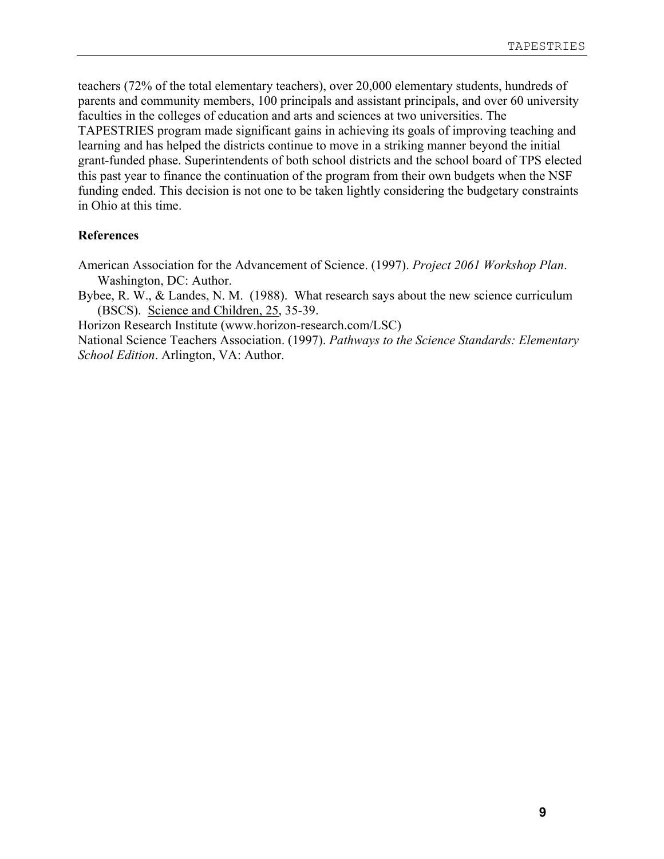teachers (72% of the total elementary teachers), over 20,000 elementary students, hundreds of parents and community members, 100 principals and assistant principals, and over 60 university faculties in the colleges of education and arts and sciences at two universities. The TAPESTRIES program made significant gains in achieving its goals of improving teaching and learning and has helped the districts continue to move in a striking manner beyond the initial grant-funded phase. Superintendents of both school districts and the school board of TPS elected this past year to finance the continuation of the program from their own budgets when the NSF funding ended. This decision is not one to be taken lightly considering the budgetary constraints in Ohio at this time.

#### **References**

- American Association for the Advancement of Science. (1997). *Project 2061 Workshop Plan*. Washington, DC: Author.
- Bybee, R. W., & Landes, N. M. (1988). What research says about the new science curriculum (BSCS). Science and Children, 25, 35-39.

Horizon Research Institute (www.horizon-research.com/LSC)

National Science Teachers Association. (1997). *Pathways to the Science Standards: Elementary School Edition*. Arlington, VA: Author.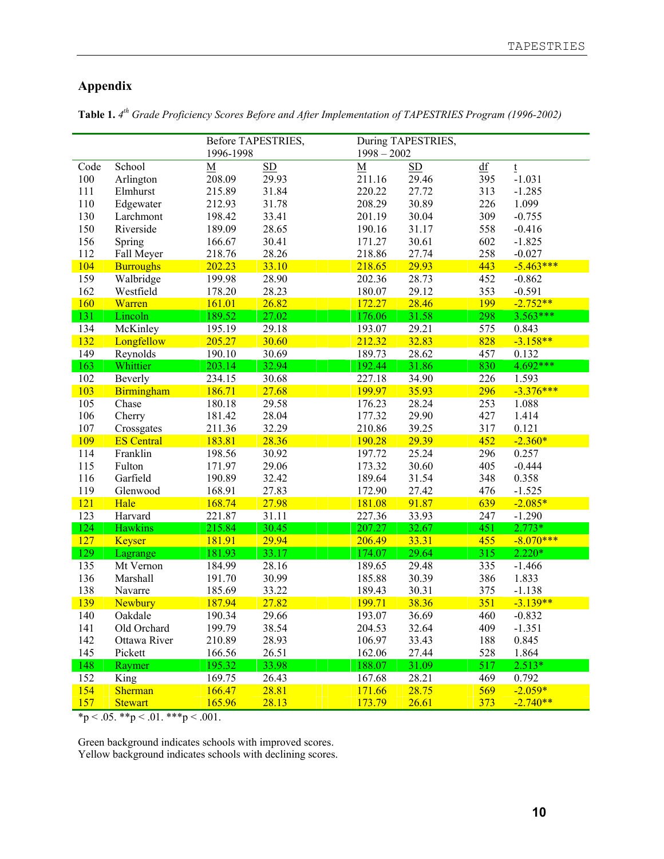# **Appendix**

|            |                   |                          | Before TAPESTRIES, |               | During TAPESTRIES, |     |             |
|------------|-------------------|--------------------------|--------------------|---------------|--------------------|-----|-------------|
|            |                   | 1996-1998                |                    | $1998 - 2002$ |                    |     |             |
| Code       | School            | $\underline{\mathbf{M}}$ | SD                 | $\mathbf M$   | SD                 | df  | $\mathbf t$ |
| 100        | Arlington         | 208.09                   | 29.93              | 211.16        | 29.46              | 395 | $-1.031$    |
| 111        | Elmhurst          | 215.89                   | 31.84              | 220.22        | 27.72              | 313 | $-1.285$    |
| 110        | Edgewater         | 212.93                   | 31.78              | 208.29        | 30.89              | 226 | 1.099       |
| 130        | Larchmont         | 198.42                   | 33.41              | 201.19        | 30.04              | 309 | $-0.755$    |
| 150        | Riverside         | 189.09                   | 28.65              | 190.16        | 31.17              | 558 | $-0.416$    |
| 156        | Spring            | 166.67                   | 30.41              | 171.27        | 30.61              | 602 | $-1.825$    |
| 112        | Fall Meyer        | 218.76                   | 28.26              | 218.86        | 27.74              | 258 | $-0.027$    |
| 104        | <b>Burroughs</b>  | 202.23                   | 33.10              | 218.65        | 29.93              | 443 | $-5.463***$ |
| 159        | Walbridge         | 199.98                   | 28.90              | 202.36        | 28.73              | 452 | $-0.862$    |
| 162        | Westfield         | 178.20                   | 28.23              | 180.07        | 29.12              | 353 | $-0.591$    |
| 160        | Warren            | 161.01                   | 26.82              | 172.27        | 28.46              | 199 | $-2.752**$  |
| 131        | Lincoln           | 189.52                   | 27.02              | 176.06        | 31.58              | 298 | $3.563***$  |
| 134        | McKinley          | 195.19                   | 29.18              | 193.07        | 29.21              | 575 | 0.843       |
| 132        | Longfellow        | 205.27                   | 30.60              | 212.32        | 32.83              | 828 | $-3.158**$  |
| 149        | Reynolds          | 190.10                   | 30.69              | 189.73        | 28.62              | 457 | 0.132       |
| 163        | Whittier          | 203.14                   | 32.94              | 192.44        | 31.86              | 830 | 4.692***    |
| 102        | Beverly           | 234.15                   | 30.68              | 227.18        | 34.90              | 226 | 1.593       |
| 103        | Birmingham        | 186.71                   | 27.68              | 199.97        | 35.93              | 296 | $-3.376***$ |
| 105        | Chase             | 180.18                   | 29.58              | 176.23        | 28.24              | 253 | 1.088       |
| 106        | Cherry            | 181.42                   | 28.04              | 177.32        | 29.90              | 427 | 1.414       |
| 107        | Crossgates        | 211.36                   | 32.29              | 210.86        | 39.25              | 317 | 0.121       |
| <b>109</b> | <b>ES Central</b> | 183.81                   | 28.36              | 190.28        | 29.39              | 452 | $-2.360*$   |
| 114        | Franklin          | 198.56                   | 30.92              | 197.72        | 25.24              | 296 | 0.257       |
| 115        | Fulton            | 171.97                   | 29.06              | 173.32        | 30.60              | 405 | $-0.444$    |
| 116        | Garfield          | 190.89                   | 32.42              | 189.64        | 31.54              | 348 | 0.358       |
| 119        | Glenwood          | 168.91                   | 27.83              | 172.90        | 27.42              | 476 | $-1.525$    |
| 121        | Hale              | 168.74                   | 27.98              | 181.08        | 91.87              | 639 | $-2.085*$   |
| 123        | Harvard           | 221.87                   | 31.11              | 227.36        | 33.93              | 247 | $-1.290$    |
| 124        | <b>Hawkins</b>    | 215.84                   | 30.45              | 207.27        | 32.67              | 451 | $2.773*$    |
| 127        | <b>Keyser</b>     | 181.91                   | 29.94              | 206.49        | 33.31              | 455 | $-8.070***$ |
| 129        | Lagrange          | 181.93                   | 33.17              | 174.07        | 29.64              | 315 | $2.220*$    |
| 135        | Mt Vernon         | 184.99                   | 28.16              | 189.65        | 29.48              | 335 | $-1.466$    |
| 136        | Marshall          | 191.70                   | 30.99              | 185.88        | 30.39              | 386 | 1.833       |
| 138        | Navarre           | 185.69                   | 33.22              | 189.43        | 30.31              | 375 | $-1.138$    |
| 139        | Newbury           | 187.94                   | 27.82              | 199.71        | 38.36              | 351 | $-3.139**$  |
| 140        | Oakdale           | 190.34                   | 29.66              | 193.07        | 36.69              | 460 | $-0.832$    |
| 141        | Old Orchard       | 199.79                   | 38.54              | 204.53        | 32.64              | 409 | $-1.351$    |
| 142        | Ottawa River      | 210.89                   | 28.93              | 106.97        | 33.43              | 188 | 0.845       |
| 145        | Pickett           |                          | 26.51              |               |                    | 528 | 1.864       |
|            |                   | 166.56<br>195.32         | 33.98              | 162.06        | 27.44<br>31.09     | 517 | $2.513*$    |
| 148        | Raymer            |                          |                    | 188.07        |                    |     |             |
| 152        | King              | 169.75                   | 26.43              | 167.68        | 28.21              | 469 | 0.792       |
| 154        | <b>Sherman</b>    | 166.47                   | 28.81              | 171.66        | 28.75              | 569 | $-2.059*$   |
| 157        | <b>Stewart</b>    | 165.96                   | 28.13              | 173.79        | 26.61              | 373 | $-2.740**$  |

**Table 1.** *4th Grade Proficiency Scores Before and After Implementation of TAPESTRIES Program (1996-2002)*

 $*p < .05$ .  $*p < .01$ .  $**p < .001$ .

Green background indicates schools with improved scores. Yellow background indicates schools with declining scores.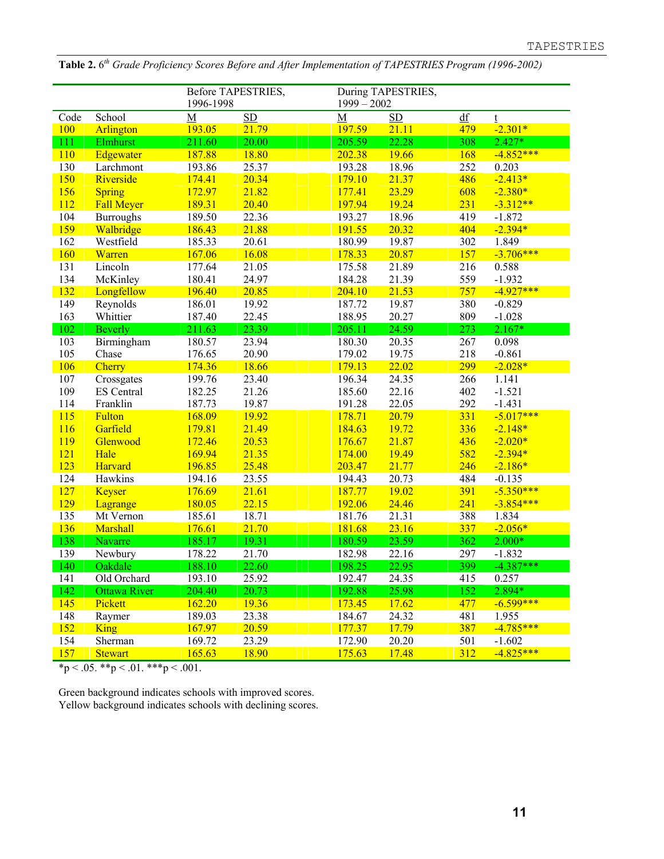|      |                                   | 1996-1998 | Before TAPESTRIES, | $1999 - 2002$ | During TAPESTRIES, |     |             |
|------|-----------------------------------|-----------|--------------------|---------------|--------------------|-----|-------------|
| Code | School                            | M         | SD                 | M             | SD                 | df  | t           |
| 100  | Arlington                         | 193.05    | 21.79              | 197.59        | 21.11              | 479 | $-2.301*$   |
| 111  | Elmhurst                          | 211.60    | 20.00              | 205.59        | 22.28              | 308 | $2.427*$    |
| 110  | Edgewater                         | 187.88    | 18.80              | 202.38        | 19.66              | 168 | $-4.852***$ |
| 130  | Larchmont                         | 193.86    | 25.37              | 193.28        | 18.96              | 252 | 0.203       |
| 150  | Riverside                         | 174.41    | 20.34              | 179.10        | 21.37              | 486 | $-2.413*$   |
| 156  | <b>Spring</b>                     | 172.97    | 21.82              | 177.41        | 23.29              | 608 | $-2.380*$   |
| 112  | <b>Fall Meyer</b>                 | 189.31    | 20.40              | 197.94        | 19.24              | 231 | $-3.312**$  |
| 104  | <b>Burroughs</b>                  | 189.50    | 22.36              | 193.27        | 18.96              | 419 | $-1.872$    |
| 159  | Walbridge                         | 186.43    | 21.88              | 191.55        | 20.32              | 404 | $-2.394*$   |
| 162  | Westfield                         | 185.33    | 20.61              | 180.99        | 19.87              | 302 | 1.849       |
| 160  | Warren                            | 167.06    | 16.08              | 178.33        | 20.87              | 157 | $-3.706***$ |
| 131  | Lincoln                           | 177.64    | 21.05              | 175.58        | 21.89              | 216 | 0.588       |
| 134  | McKinley                          | 180.41    | 24.97              | 184.28        | 21.39              | 559 | $-1.932$    |
| 132  | Longfellow                        | 196.40    | 20.85              | 204.10        | 21.53              | 757 | $-4.927***$ |
| 149  | Reynolds                          | 186.01    | 19.92              | 187.72        | 19.87              | 380 | $-0.829$    |
| 163  | Whittier                          | 187.40    | 22.45              | 188.95        | 20.27              | 809 | $-1.028$    |
| 102  | <b>Beverly</b>                    | 211.63    | 23.39              | 205.11        | 24.59              | 273 | $2.167*$    |
| 103  | Birmingham                        | 180.57    | 23.94              | 180.30        | 20.35              | 267 | 0.098       |
| 105  | Chase                             | 176.65    | 20.90              | 179.02        | 19.75              | 218 | $-0.861$    |
| 106  | Cherry                            | 174.36    | 18.66              | 179.13        | 22.02              | 299 | $-2.028*$   |
| 107  | Crossgates                        | 199.76    | 23.40              | 196.34        | 24.35              | 266 | 1.141       |
| 109  | <b>ES</b> Central                 | 182.25    | 21.26              | 185.60        | 22.16              | 402 | $-1.521$    |
| 114  | Franklin                          | 187.73    | 19.87              | 191.28        | 22.05              | 292 | $-1.431$    |
| 115  | Fulton                            | 168.09    | 19.92              | 178.71        | 20.79              | 331 | $-5.017***$ |
| 116  | Garfield                          | 179.81    | 21.49              | 184.63        | 19.72              | 336 | $-2.148*$   |
| 119  | Glenwood                          | 172.46    | 20.53              | 176.67        | 21.87              | 436 | $-2.020*$   |
| 121  | Hale                              | 169.94    | 21.35              | 174.00        | 19.49              | 582 | $-2.394*$   |
| 123  | Harvard                           | 196.85    | 25.48              | 203.47        | 21.77              | 246 | $-2.186*$   |
| 124  | Hawkins                           | 194.16    | 23.55              | 194.43        | 20.73              | 484 | $-0.135$    |
| 127  | <b>Keyser</b>                     | 176.69    | 21.61              | 187.77        | 19.02              | 391 | $-5.350***$ |
| 129  | Lagrange                          | 180.05    | 22.15              | 192.06        | 24.46              | 241 | $-3.854***$ |
| 135  | Mt Vernon                         | 185.61    | 18.71              | 181.76        | 21.31              | 388 | 1.834       |
| 136  | Marshall                          | 176.61    | 21.70              | 181.68        | 23.16              | 337 | $-2.056*$   |
| 138  | Navarre                           | 185.17    | 19.31              | 180.59        | 23.59              | 362 | $2.000*$    |
| 139  | Newbury                           | 178.22    | 21.70              | 182.98        | 22.16              | 297 | $-1.832$    |
| 140  | Oakdale                           | 188 10    | 22.60              | 198.25        | 22.95              | 399 | $-4.387***$ |
| 141  | Old Orchard                       | 193.10    | 25.92              | 192.47        | 24.35              | 415 | 0.257       |
| 142  | <b>Ottawa River</b>               | 204.40    | 20.73              | 192.88        | 25.98              | 152 | 2.894*      |
| 145  | Pickett                           | 162.20    | 19.36              | 173.45        | 17.62              | 477 | $-6.599***$ |
| 148  | Raymer                            | 189.03    | 23.38              | 184.67        | 24.32              | 481 | 1.955       |
| 152  | <b>King</b>                       | 167.97    | 20.59              | 177.37        | 17.79              | 387 | $-4.785***$ |
| 154  | Sherman                           | 169.72    | 23.29              | 172.90        | 20.20              | 501 | $-1.602$    |
| 157  | <b>Stewart</b>                    | 165.63    | 18.90              | 175.63        | 17.48              | 312 | $-4.825***$ |
|      | *p < .05. **p < .01. ***p < .001. |           |                    |               |                    |     |             |

**Table 2.** 6*th Grade Proficiency Scores Before and After Implementation of TAPESTRIES Program (1996-2002)*

Green background indicates schools with improved scores. Yellow background indicates schools with declining scores.